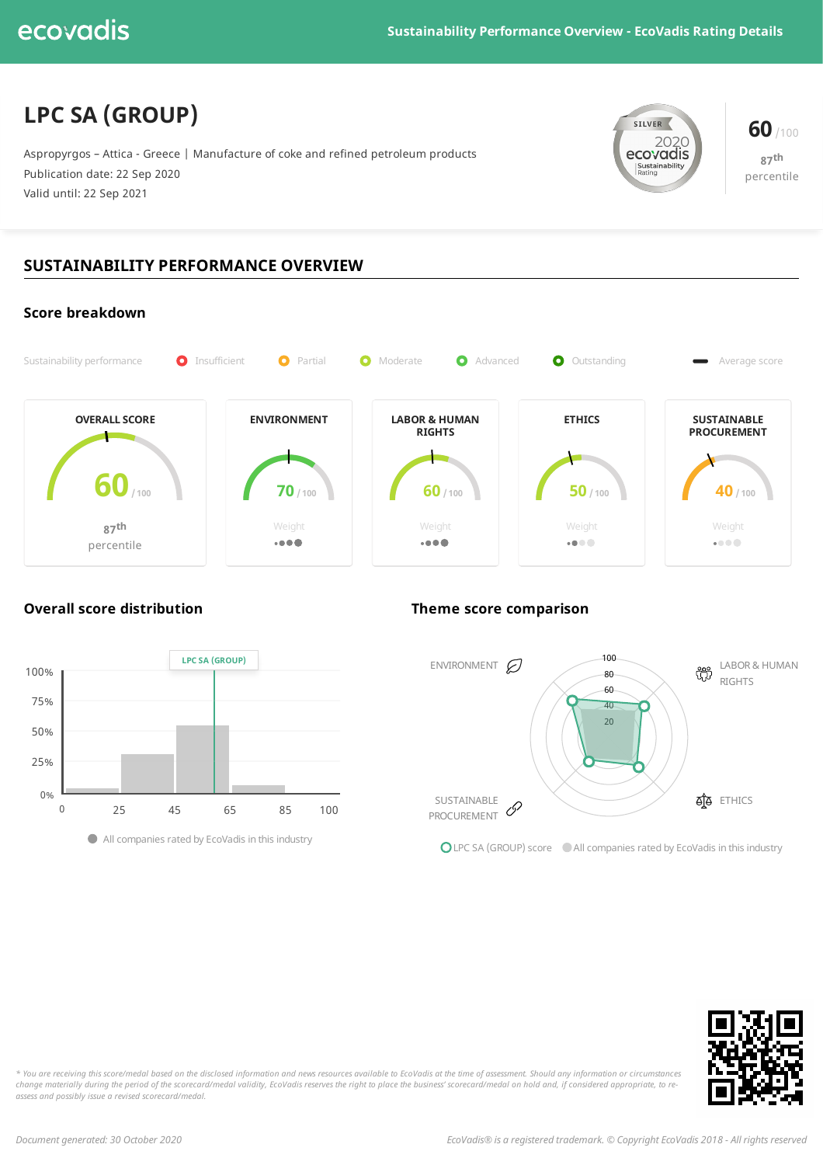# **LPC SA (GROUP)**

Aspropyrgos – Attica - Greece | Manufacture of coke and refined petroleum products Publication date: 22 Sep 2020 Valid until: 22 Sep 2021



**87 th** percentile

## **SUSTAINABILITY PERFORMANCE OVERVIEW**





**Overall score distribution Theme score comparison**



**OLPC SA (GROUP) score** All companies rated by EcoVadis in this industry



\* You are receiving this score/medal based on the disclosed information and news resources available to EcoVadis at the time of assessment. Should any information or circumstances change materially during the period of the scorecard/medal validity, EcoVadis reserves the right to place the business' scorecard/medal on hold and, if considered appropriate, to re*assess and possibly issue a revised scorecard/medal.*